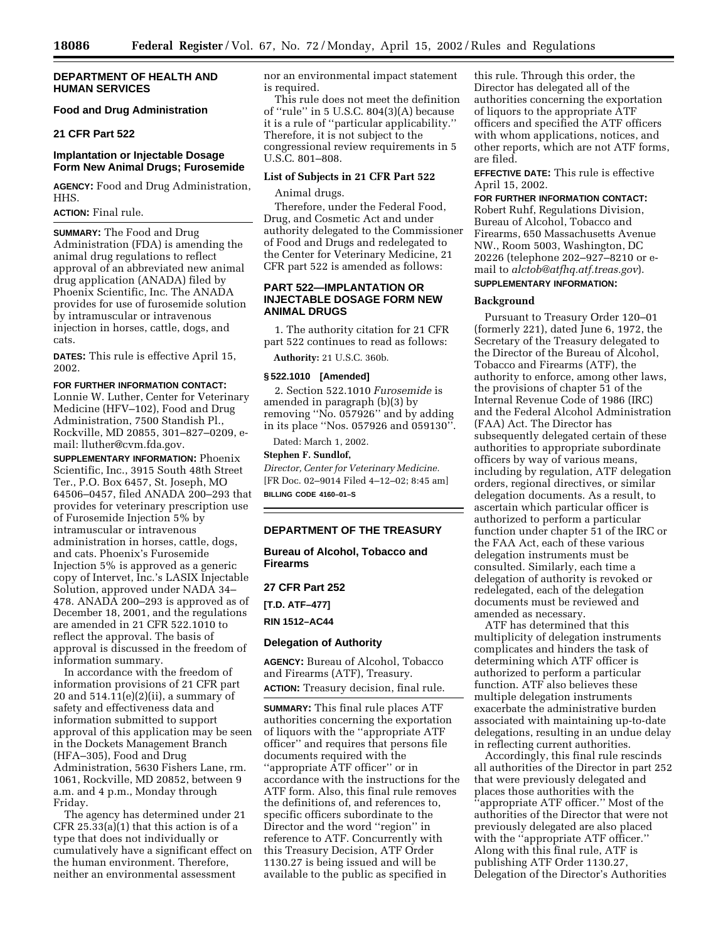### **DEPARTMENT OF HEALTH AND HUMAN SERVICES**

# **Food and Drug Administration**

### **21 CFR Part 522**

### **Implantation or Injectable Dosage Form New Animal Drugs; Furosemide**

**AGENCY:** Food and Drug Administration, HHS.

# **ACTION:** Final rule.

**SUMMARY:** The Food and Drug Administration (FDA) is amending the animal drug regulations to reflect approval of an abbreviated new animal drug application (ANADA) filed by Phoenix Scientific, Inc. The ANADA provides for use of furosemide solution by intramuscular or intravenous injection in horses, cattle, dogs, and cats.

**DATES:** This rule is effective April 15, 2002.

#### **FOR FURTHER INFORMATION CONTACT:**

Lonnie W. Luther, Center for Veterinary Medicine (HFV–102), Food and Drug Administration, 7500 Standish Pl., Rockville, MD 20855, 301–827–0209, email: lluther@cvm.fda.gov.

**SUPPLEMENTARY INFORMATION:** Phoenix Scientific, Inc., 3915 South 48th Street Ter., P.O. Box 6457, St. Joseph, MO 64506–0457, filed ANADA 200–293 that provides for veterinary prescription use of Furosemide Injection 5% by intramuscular or intravenous administration in horses, cattle, dogs, and cats. Phoenix's Furosemide Injection 5% is approved as a generic copy of Intervet, Inc.'s LASIX Injectable Solution, approved under NADA 34– 478. ANADA 200–293 is approved as of December 18, 2001, and the regulations are amended in 21 CFR 522.1010 to reflect the approval. The basis of approval is discussed in the freedom of information summary.

In accordance with the freedom of information provisions of 21 CFR part 20 and 514.11(e)(2)(ii), a summary of safety and effectiveness data and information submitted to support approval of this application may be seen in the Dockets Management Branch (HFA–305), Food and Drug Administration, 5630 Fishers Lane, rm. 1061, Rockville, MD 20852, between 9 a.m. and 4 p.m., Monday through Friday.

The agency has determined under 21 CFR 25.33(a)(1) that this action is of a type that does not individually or cumulatively have a significant effect on the human environment. Therefore, neither an environmental assessment

nor an environmental impact statement is required.

This rule does not meet the definition of ''rule'' in 5 U.S.C. 804(3)(A) because it is a rule of ''particular applicability.'' Therefore, it is not subject to the congressional review requirements in 5 U.S.C. 801–808.

### **List of Subjects in 21 CFR Part 522**

Animal drugs.

Therefore, under the Federal Food, Drug, and Cosmetic Act and under authority delegated to the Commissioner of Food and Drugs and redelegated to the Center for Veterinary Medicine, 21 CFR part 522 is amended as follows:

### **PART 522—IMPLANTATION OR INJECTABLE DOSAGE FORM NEW ANIMAL DRUGS**

1. The authority citation for 21 CFR part 522 continues to read as follows:

**Authority:** 21 U.S.C. 360b.

### **§ 522.1010 [Amended]**

2. Section 522.1010 *Furosemide* is amended in paragraph (b)(3) by removing ''No. 057926'' and by adding in its place ''Nos. 057926 and 059130''.

Dated: March 1, 2002.

# **Stephen F. Sundlof,**

*Director, Center for Veterinary Medicine.* [FR Doc. 02–9014 Filed 4–12–02; 8:45 am] **BILLING CODE 4160–01–S**

# **DEPARTMENT OF THE TREASURY**

**Bureau of Alcohol, Tobacco and Firearms**

### **27 CFR Part 252**

**[T.D. ATF–477]**

**RIN 1512–AC44**

### **Delegation of Authority**

**AGENCY:** Bureau of Alcohol, Tobacco and Firearms (ATF), Treasury. **ACTION:** Treasury decision, final rule.

**SUMMARY:** This final rule places ATF authorities concerning the exportation of liquors with the ''appropriate ATF officer'' and requires that persons file documents required with the ''appropriate ATF officer'' or in accordance with the instructions for the ATF form. Also, this final rule removes the definitions of, and references to, specific officers subordinate to the Director and the word ''region'' in reference to ATF. Concurrently with this Treasury Decision, ATF Order 1130.27 is being issued and will be available to the public as specified in

this rule. Through this order, the Director has delegated all of the authorities concerning the exportation of liquors to the appropriate ATF officers and specified the ATF officers with whom applications, notices, and other reports, which are not ATF forms, are filed.

**EFFECTIVE DATE:** This rule is effective April 15, 2002.

**FOR FURTHER INFORMATION CONTACT:** Robert Ruhf, Regulations Division, Bureau of Alcohol, Tobacco and Firearms, 650 Massachusetts Avenue NW., Room 5003, Washington, DC 20226 (telephone 202–927–8210 or email to *alctob@atfhq.atf.treas.gov*). **SUPPLEMENTARY INFORMATION:**

#### **Background**

Pursuant to Treasury Order 120–01 (formerly 221), dated June 6, 1972, the Secretary of the Treasury delegated to the Director of the Bureau of Alcohol, Tobacco and Firearms (ATF), the authority to enforce, among other laws, the provisions of chapter 51 of the Internal Revenue Code of 1986 (IRC) and the Federal Alcohol Administration (FAA) Act. The Director has subsequently delegated certain of these authorities to appropriate subordinate officers by way of various means, including by regulation, ATF delegation orders, regional directives, or similar delegation documents. As a result, to ascertain which particular officer is authorized to perform a particular function under chapter 51 of the IRC or the FAA Act, each of these various delegation instruments must be consulted. Similarly, each time a delegation of authority is revoked or redelegated, each of the delegation documents must be reviewed and amended as necessary.

ATF has determined that this multiplicity of delegation instruments complicates and hinders the task of determining which ATF officer is authorized to perform a particular function. ATF also believes these multiple delegation instruments exacerbate the administrative burden associated with maintaining up-to-date delegations, resulting in an undue delay in reflecting current authorities.

Accordingly, this final rule rescinds all authorities of the Director in part 252 that were previously delegated and places those authorities with the 'appropriate ATF officer." Most of the authorities of the Director that were not previously delegated are also placed with the ''appropriate ATF officer.'' Along with this final rule, ATF is publishing ATF Order 1130.27, Delegation of the Director's Authorities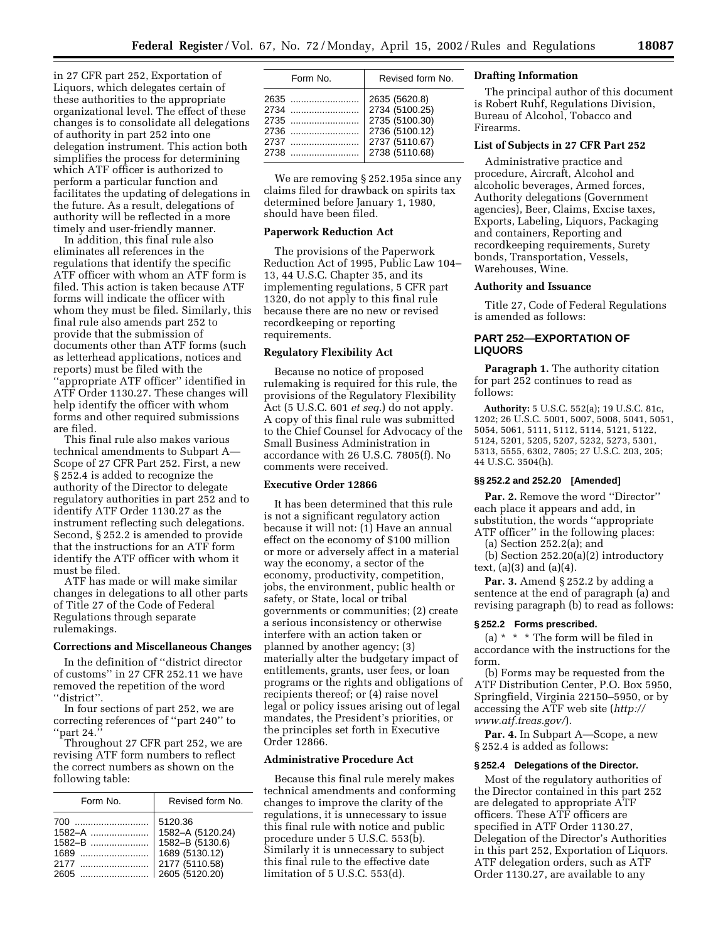in 27 CFR part 252, Exportation of Liquors, which delegates certain of these authorities to the appropriate organizational level. The effect of these changes is to consolidate all delegations of authority in part 252 into one delegation instrument. This action both simplifies the process for determining which ATF officer is authorized to perform a particular function and facilitates the updating of delegations in the future. As a result, delegations of authority will be reflected in a more timely and user-friendly manner.

In addition, this final rule also eliminates all references in the regulations that identify the specific ATF officer with whom an ATF form is filed. This action is taken because ATF forms will indicate the officer with whom they must be filed. Similarly, this final rule also amends part 252 to provide that the submission of documents other than ATF forms (such as letterhead applications, notices and reports) must be filed with the ''appropriate ATF officer'' identified in ATF Order 1130.27. These changes will help identify the officer with whom forms and other required submissions are filed.

This final rule also makes various technical amendments to Subpart A— Scope of 27 CFR Part 252. First, a new § 252.4 is added to recognize the authority of the Director to delegate regulatory authorities in part 252 and to identify ATF Order 1130.27 as the instrument reflecting such delegations. Second, § 252.2 is amended to provide that the instructions for an ATF form identify the ATF officer with whom it must be filed.

ATF has made or will make similar changes in delegations to all other parts of Title 27 of the Code of Federal Regulations through separate rulemakings.

### **Corrections and Miscellaneous Changes**

In the definition of ''district director of customs'' in 27 CFR 252.11 we have removed the repetition of the word ''district''.

In four sections of part 252, we are correcting references of ''part 240'' to part 24.

Throughout 27 CFR part 252, we are revising ATF form numbers to reflect the correct numbers as shown on the following table:

| Form No.                                  | Revised form No.                                                                                     |
|-------------------------------------------|------------------------------------------------------------------------------------------------------|
| 700<br>$1582 - B$<br>1689<br>2177<br>2605 | 5120.36<br>1582-A (5120.24)<br>1582-B (5130.6)<br>1689 (5130.12)<br>2177 (5110.58)<br>2605 (5120.20) |

| Form No.                             | Revised form No.                                                                                        |
|--------------------------------------|---------------------------------------------------------------------------------------------------------|
| 2635<br>2734<br>2736<br>2737<br>2738 | 2635 (5620.8)<br>2734 (5100.25)<br>2735 (5100.30)<br>2736 (5100.12)<br>2737 (5110.67)<br>2738 (5110.68) |
|                                      |                                                                                                         |

We are removing § 252.195a since any claims filed for drawback on spirits tax determined before January 1, 1980, should have been filed.

#### **Paperwork Reduction Act**

The provisions of the Paperwork Reduction Act of 1995, Public Law 104– 13, 44 U.S.C. Chapter 35, and its implementing regulations, 5 CFR part 1320, do not apply to this final rule because there are no new or revised recordkeeping or reporting requirements.

### **Regulatory Flexibility Act**

Because no notice of proposed rulemaking is required for this rule, the provisions of the Regulatory Flexibility Act (5 U.S.C. 601 *et seq.*) do not apply. A copy of this final rule was submitted to the Chief Counsel for Advocacy of the Small Business Administration in accordance with 26 U.S.C. 7805(f). No comments were received.

### **Executive Order 12866**

It has been determined that this rule is not a significant regulatory action because it will not: (1) Have an annual effect on the economy of \$100 million or more or adversely affect in a material way the economy, a sector of the economy, productivity, competition, jobs, the environment, public health or safety, or State, local or tribal governments or communities; (2) create a serious inconsistency or otherwise interfere with an action taken or planned by another agency; (3) materially alter the budgetary impact of entitlements, grants, user fees, or loan programs or the rights and obligations of recipients thereof; or (4) raise novel legal or policy issues arising out of legal mandates, the President's priorities, or the principles set forth in Executive Order 12866.

## **Administrative Procedure Act**

Because this final rule merely makes technical amendments and conforming changes to improve the clarity of the regulations, it is unnecessary to issue this final rule with notice and public procedure under 5 U.S.C. 553(b). Similarly it is unnecessary to subject this final rule to the effective date limitation of 5 U.S.C. 553(d).

### **Drafting Information**

The principal author of this document is Robert Ruhf, Regulations Division, Bureau of Alcohol, Tobacco and Firearms.

### **List of Subjects in 27 CFR Part 252**

Administrative practice and procedure, Aircraft, Alcohol and alcoholic beverages, Armed forces, Authority delegations (Government agencies), Beer, Claims, Excise taxes, Exports, Labeling, Liquors, Packaging and containers, Reporting and recordkeeping requirements, Surety bonds, Transportation, Vessels, Warehouses, Wine.

### **Authority and Issuance**

Title 27, Code of Federal Regulations is amended as follows:

# **PART 252—EXPORTATION OF LIQUORS**

**Paragraph 1.** The authority citation for part 252 continues to read as follows:

**Authority:** 5 U.S.C. 552(a); 19 U.S.C. 81c, 1202; 26 U.S.C. 5001, 5007, 5008, 5041, 5051, 5054, 5061, 5111, 5112, 5114, 5121, 5122, 5124, 5201, 5205, 5207, 5232, 5273, 5301, 5313, 5555, 6302, 7805; 27 U.S.C. 203, 205; 44 U.S.C. 3504(h).

# **§§ 252.2 and 252.20 [Amended]**

Par. 2. Remove the word "Director" each place it appears and add, in substitution, the words ''appropriate ATF officer" in the following places:

(a) Section 252.2(a); and

(b) Section 252.20(a)(2) introductory text,  $(a)(3)$  and  $(a)(4)$ .

**Par. 3.** Amend § 252.2 by adding a sentence at the end of paragraph (a) and revising paragraph (b) to read as follows:

#### **§ 252.2 Forms prescribed.**

(a)  $* * * The form will be filed in$ accordance with the instructions for the form.

(b) Forms may be requested from the ATF Distribution Center, P.O. Box 5950, Springfield, Virginia 22150–5950, or by accessing the ATF web site (*http:// www.atf.treas.gov/*).

**Par. 4.** In Subpart A—Scope, a new § 252.4 is added as follows:

### **§ 252.4 Delegations of the Director.**

Most of the regulatory authorities of the Director contained in this part 252 are delegated to appropriate ATF officers. These ATF officers are specified in ATF Order 1130.27, Delegation of the Director's Authorities in this part 252, Exportation of Liquors. ATF delegation orders, such as ATF Order 1130.27, are available to any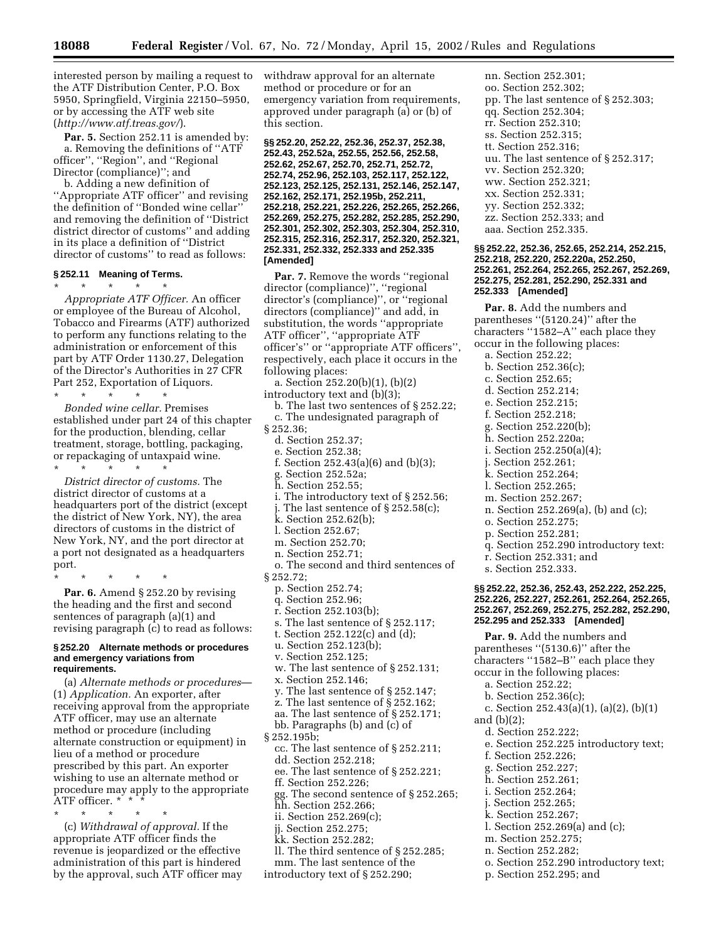interested person by mailing a request to the ATF Distribution Center, P.O. Box 5950, Springfield, Virginia 22150–5950, or by accessing the ATF web site (*http://www.atf.treas.gov/*).

Par. 5. Section 252.11 is amended by: a. Removing the definitions of ''ATF officer'', ''Region'', and ''Regional Director (compliance)''; and

b. Adding a new definition of ''Appropriate ATF officer'' and revising the definition of ''Bonded wine cellar'' and removing the definition of ''District district director of customs'' and adding in its place a definition of ''District director of customs'' to read as follows:

# **§ 252.11 Meaning of Terms.**

\* \* \* \* \* *Appropriate ATF Officer.* An officer or employee of the Bureau of Alcohol, Tobacco and Firearms (ATF) authorized to perform any functions relating to the administration or enforcement of this part by ATF Order 1130.27, Delegation of the Director's Authorities in 27 CFR Part 252, Exportation of Liquors.

\* \* \* \* \* *Bonded wine cellar.* Premises established under part 24 of this chapter for the production, blending, cellar treatment, storage, bottling, packaging, or repackaging of untaxpaid wine.

\* \* \* \* \*

*District director of customs.* The district director of customs at a headquarters port of the district (except the district of New York, NY), the area directors of customs in the district of New York, NY, and the port director at a port not designated as a headquarters port.

\* \* \* \* \*

**Par. 6.** Amend § 252.20 by revising the heading and the first and second sentences of paragraph (a)(1) and revising paragraph (c) to read as follows:

#### **§ 252.20 Alternate methods or procedures and emergency variations from requirements.**

(a) *Alternate methods or procedures*— (1) *Application.* An exporter, after receiving approval from the appropriate ATF officer, may use an alternate method or procedure (including alternate construction or equipment) in lieu of a method or procedure prescribed by this part. An exporter wishing to use an alternate method or procedure may apply to the appropriate ATF officer. \* \* \*

\* \* \* \* \*

(c) *Withdrawal of approval.* If the appropriate ATF officer finds the revenue is jeopardized or the effective administration of this part is hindered by the approval, such ATF officer may withdraw approval for an alternate method or procedure or for an emergency variation from requirements, approved under paragraph (a) or (b) of this section.

**§§ 252.20, 252.22, 252.36, 252.37, 252.38, 252.43, 252.52a, 252.55, 252.56, 252.58, 252.62, 252.67, 252.70, 252.71, 252.72, 252.74, 252.96, 252.103, 252.117, 252.122, 252.123, 252.125, 252.131, 252.146, 252.147, 252.162, 252.171, 252.195b, 252.211, 252.218, 252.221, 252.226, 252.265, 252.266, 252.269, 252.275, 252.282, 252.285, 252.290, 252.301, 252.302, 252.303, 252.304, 252.310, 252.315, 252.316, 252.317, 252.320, 252.321, 252.331, 252.332, 252.333 and 252.335 [Amended]**

**Par. 7.** Remove the words "regional" director (compliance)'', ''regional director's (compliance)'', or ''regional directors (compliance)'' and add, in substitution, the words ''appropriate ATF officer'', ''appropriate ATF officer's'' or ''appropriate ATF officers'', respectively, each place it occurs in the following places:

- a. Section 252.20(b)(1), (b)(2) introductory text and (b)(3); b. The last two sentences of § 252.22;
- c. The undesignated paragraph of § 252.36;
	- d. Section 252.37;
	- e. Section 252.38;
	- f. Section 252.43(a)(6) and (b)(3);
	- g. Section 252.52a;
	- h. Section 252.55;
	- i. The introductory text of § 252.56;
	- j. The last sentence of § 252.58(c);
	- k. Section 252.62(b);
	- l. Section 252.67;
	- m. Section 252.70;
	- n. Section 252.71;
- o. The second and third sentences of
- § 252.72;
	- p. Section 252.74;
	- q. Section 252.96;
	- r. Section 252.103(b);
	- s. The last sentence of § 252.117;
	- t. Section 252.122(c) and (d);
	- u. Section 252.123(b);
	- v. Section 252.125;
	- w. The last sentence of § 252.131;
	- x. Section 252.146;
	- y. The last sentence of § 252.147; z. The last sentence of § 252.162;
	- aa. The last sentence of § 252.171;
	- bb. Paragraphs (b) and (c) of
- § 252.195b;
	- cc. The last sentence of § 252.211;
	- dd. Section 252.218;
	- ee. The last sentence of § 252.221;
- ff. Section 252.226;
- gg. The second sentence of § 252.265;
- hh. Section 252.266;
- ii. Section 252.269(c);
- jj. Section 252.275;
- kk. Section 252.282;
- ll. The third sentence of § 252.285;
- mm. The last sentence of the
- introductory text of § 252.290;

nn. Section 252.301; oo. Section 252.302; pp. The last sentence of § 252.303; qq. Section 252.304; rr. Section 252.310; ss. Section 252.315; tt. Section 252.316; uu. The last sentence of § 252.317; vv. Section 252.320; ww. Section 252.321; xx. Section 252.331; yy. Section 252.332; zz. Section 252.333; and aaa. Section 252.335.

### **§§ 252.22, 252.36, 252.65, 252.214, 252.215, 252.218, 252.220, 252.220a, 252.250, 252.261, 252.264, 252.265, 252.267, 252.269, 252.275, 252.281, 252.290, 252.331 and 252.333 [Amended]**

**Par. 8.** Add the numbers and parentheses "(5120.24)" after the characters "1582-A" each place they occur in the following places: a. Section 252.22; b. Section 252.36(c); c. Section 252.65; d. Section 252.214;

- e. Section 252.215;
- f. Section 252.218;
- g. Section 252.220(b);
- h. Section 252.220a;
- i. Section 252.250(a)(4);
- j. Section 252.261;
- k. Section 252.264;
- l. Section 252.265;
- 
- m. Section 252.267;
- n. Section 252.269(a), (b) and (c);
- o. Section 252.275;
- p. Section 252.281;
- q. Section 252.290 introductory text:
- r. Section 252.331; and
- s. Section 252.333.

### **§§ 252.22, 252.36, 252.43, 252.222, 252.225, 252.226, 252.227, 252.261, 252.264, 252.265, 252.267, 252.269, 252.275, 252.282, 252.290, 252.295 and 252.333 [Amended]**

- **Par. 9.** Add the numbers and parentheses ''(5130.6)'' after the characters ''1582–B'' each place they occur in the following places:
	- a. Section 252.22;
	- b. Section 252.36(c);
- c. Section 252.43(a)(1), (a)(2), (b)(1)
- and (b)(2);
	- d. Section 252.222;
	- e. Section 252.225 introductory text;
	- f. Section 252.226;
	- g. Section 252.227;
	- h. Section 252.261;
	- i. Section 252.264;
	- j. Section 252.265;
	- k. Section 252.267;
	- l. Section 252.269(a) and (c);
	- m. Section 252.275;
	- n. Section 252.282;
	- o. Section 252.290 introductory text;
	- p. Section 252.295; and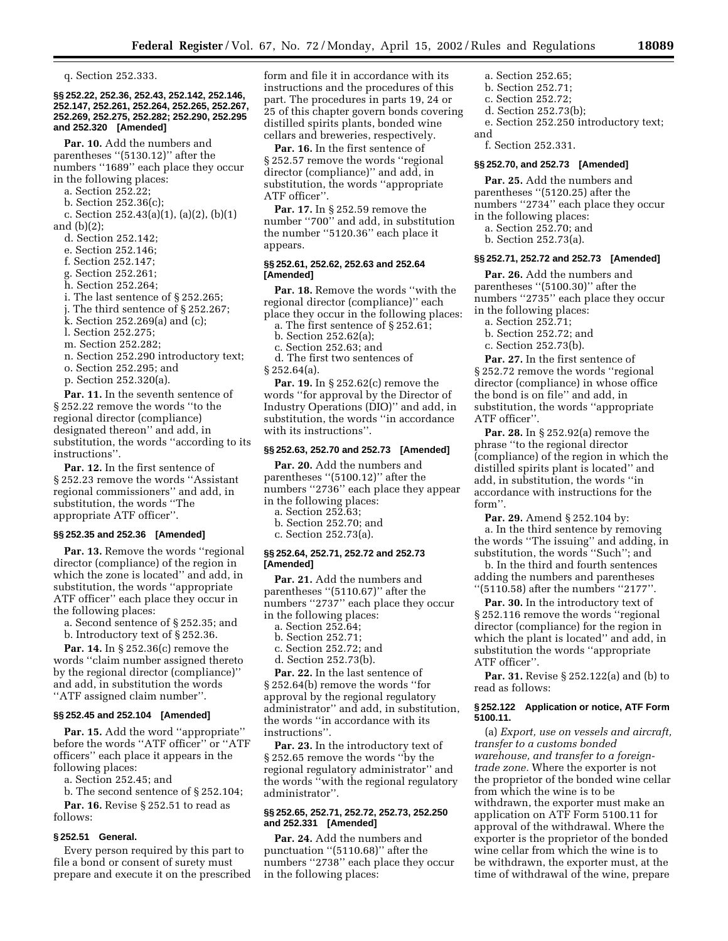q. Section 252.333.

### **§§ 252.22, 252.36, 252.43, 252.142, 252.146, 252.147, 252.261, 252.264, 252.265, 252.267, 252.269, 252.275, 252.282; 252.290, 252.295 and 252.320 [Amended]**

**Par. 10.** Add the numbers and parentheses ''(5130.12)'' after the numbers ''1689'' each place they occur in the following places:

- a. Section 252.22;
- b. Section 252.36(c);

c. Section 252.43(a)(1), (a)(2), (b)(1) and (b)(2);

- d. Section 252.142;
- e. Section 252.146;
- f. Section 252.147;
- g. Section 252.261;
- h. Section 252.264;
- i. The last sentence of § 252.265;
- j. The third sentence of § 252.267;
- k. Section 252.269(a) and (c);
- l. Section 252.275;
- m. Section 252.282;
- n. Section 252.290 introductory text;
- o. Section 252.295; and
- p. Section 252.320(a).

**Par. 11.** In the seventh sentence of § 252.22 remove the words ''to the regional director (compliance) designated thereon'' and add, in substitution, the words ''according to its instructions''.

**Par. 12.** In the first sentence of § 252.23 remove the words ''Assistant regional commissioners'' and add, in substitution, the words ''The appropriate ATF officer''.

#### **§§ 252.35 and 252.36 [Amended]**

**Par. 13.** Remove the words "regional" director (compliance) of the region in which the zone is located'' and add, in substitution, the words ''appropriate ATF officer'' each place they occur in the following places:

a. Second sentence of § 252.35; and

b. Introductory text of § 252.36.

**Par. 14.** In § 252.36(c) remove the words ''claim number assigned thereto by the regional director (compliance)'' and add, in substitution the words ''ATF assigned claim number''.

#### **§§ 252.45 and 252.104 [Amended]**

Par. 15. Add the word "appropriate" before the words ''ATF officer'' or ''ATF officers'' each place it appears in the following places:

a. Section 252.45; and

b. The second sentence of § 252.104; **Par. 16.** Revise § 252.51 to read as

# follows:

# **§ 252.51 General.**

Every person required by this part to file a bond or consent of surety must prepare and execute it on the prescribed form and file it in accordance with its instructions and the procedures of this part. The procedures in parts 19, 24 or 25 of this chapter govern bonds covering distilled spirits plants, bonded wine cellars and breweries, respectively.

**Par. 16.** In the first sentence of § 252.57 remove the words ''regional director (compliance)'' and add, in substitution, the words ''appropriate ATF officer''.

**Par. 17.** In § 252.59 remove the number ''700'' and add, in substitution the number ''5120.36'' each place it appears.

### **§§ 252.61, 252.62, 252.63 and 252.64 [Amended]**

**Par. 18.** Remove the words ''with the regional director (compliance)'' each place they occur in the following places:

- a. The first sentence of § 252.61; b. Section 252.62(a);
- 

c. Section 252.63; and

d. The first two sentences of  $§ 252.64(a).$ 

**Par. 19.** In § 252.62(c) remove the words ''for approval by the Director of Industry Operations (DIO)'' and add, in substitution, the words ''in accordance with its instructions''.

### **§§ 252.63, 252.70 and 252.73 [Amended]**

**Par. 20.** Add the numbers and parentheses "(5100.12)" after the numbers ''2736'' each place they appear in the following places:

- a. Section 252.63;
- b. Section 252.70; and
- c. Section 252.73(a).

### **§§ 252.64, 252.71, 252.72 and 252.73 [Amended]**

**Par. 21.** Add the numbers and parentheses ''(5110.67)'' after the numbers "2737" each place they occur in the following places:

- a. Section 252.64;
- b. Section 252.71;
- c. Section 252.72; and
- d. Section 252.73(b).

**Par. 22.** In the last sentence of § 252.64(b) remove the words ''for approval by the regional regulatory administrator'' and add, in substitution, the words ''in accordance with its instructions''.

**Par. 23.** In the introductory text of § 252.65 remove the words ''by the regional regulatory administrator'' and the words ''with the regional regulatory administrator''.

# **§§ 252.65, 252.71, 252.72, 252.73, 252.250 and 252.331 [Amended]**

**Par. 24.** Add the numbers and punctuation ''(5110.68)'' after the numbers ''2738'' each place they occur in the following places:

a. Section 252.65;

- b. Section 252.71;
- c. Section 252.72;
- d. Section 252.73(b);
- e. Section 252.250 introductory text; and
	- f. Section 252.331.

#### **§§ 252.70, and 252.73 [Amended]**

**Par. 25.** Add the numbers and parentheses ''(5120.25) after the numbers ''2734'' each place they occur in the following places: a. Section 252.70; and

b. Section 252.73(a).

#### **§§ 252.71, 252.72 and 252.73 [Amended]**

**Par. 26.** Add the numbers and parentheses ''(5100.30)'' after the numbers "2735" each place they occur in the following places:

- a. Section 252.71;
- b. Section 252.72; and
- c. Section 252.73(b).

**Par. 27.** In the first sentence of § 252.72 remove the words "regional director (compliance) in whose office the bond is on file'' and add, in substitution, the words ''appropriate ATF officer''.

**Par. 28.** In § 252.92(a) remove the phrase ''to the regional director (compliance) of the region in which the distilled spirits plant is located'' and add, in substitution, the words ''in accordance with instructions for the form''.

**Par. 29.** Amend § 252.104 by: a. In the third sentence by removing the words ''The issuing'' and adding, in substitution, the words ''Such''; and

b. In the third and fourth sentences adding the numbers and parentheses ''(5110.58) after the numbers ''2177''.

**Par. 30.** In the introductory text of § 252.116 remove the words ''regional director (compliance) for the region in which the plant is located'' and add, in substitution the words ''appropriate ATF officer''.

**Par. 31.** Revise § 252.122(a) and (b) to read as follows:

#### **§ 252.122 Application or notice, ATF Form 5100.11.**

(a) *Export, use on vessels and aircraft, transfer to a customs bonded warehouse, and transfer to a foreigntrade zone.* Where the exporter is not the proprietor of the bonded wine cellar from which the wine is to be withdrawn, the exporter must make an application on ATF Form 5100.11 for approval of the withdrawal. Where the exporter is the proprietor of the bonded wine cellar from which the wine is to be withdrawn, the exporter must, at the time of withdrawal of the wine, prepare